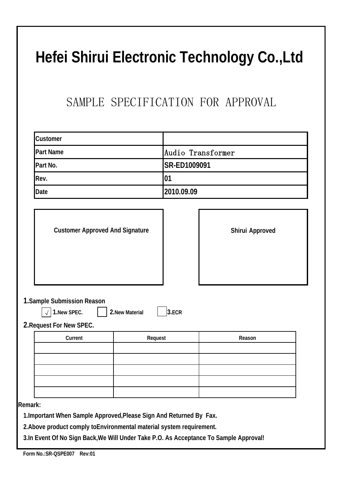## **Hefei Shirui Electronic Technology Co.,Ltd**

## SAMPLE SPECIFICATION FOR APPROVAL

| Customer                                                |                 |                                  |  |  |  |  |  |  |  |
|---------------------------------------------------------|-----------------|----------------------------------|--|--|--|--|--|--|--|
| <b>Part Name</b>                                        |                 | Audio Transformer                |  |  |  |  |  |  |  |
| Part No.                                                |                 | SR-ED1009091<br>01<br>2010.09.09 |  |  |  |  |  |  |  |
| Rev.                                                    |                 |                                  |  |  |  |  |  |  |  |
| Date                                                    |                 |                                  |  |  |  |  |  |  |  |
| <b>Customer Approved And Signature</b>                  |                 | Shirui Approved                  |  |  |  |  |  |  |  |
| 1. Sample Submission Reason<br>1.New SPEC.<br>$\sqrt{}$ | 2. New Material | 3.ECR                            |  |  |  |  |  |  |  |
| 2. Request For New SPEC.                                |                 |                                  |  |  |  |  |  |  |  |
| Current                                                 | Request         | Reason                           |  |  |  |  |  |  |  |
|                                                         |                 |                                  |  |  |  |  |  |  |  |
|                                                         |                 |                                  |  |  |  |  |  |  |  |

**2.Above product comply toEnvironmental material system requirement.**

**3.In Event Of No Sign Back,We Will Under Take P.O. As Acceptance To Sample Approval!**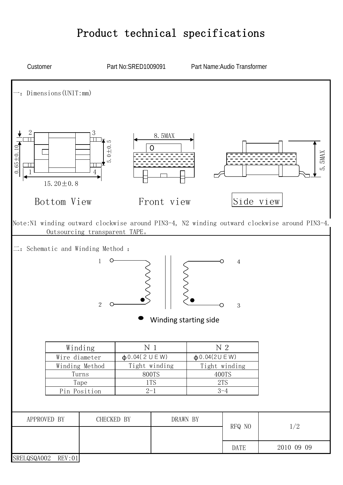## Product technical specifications